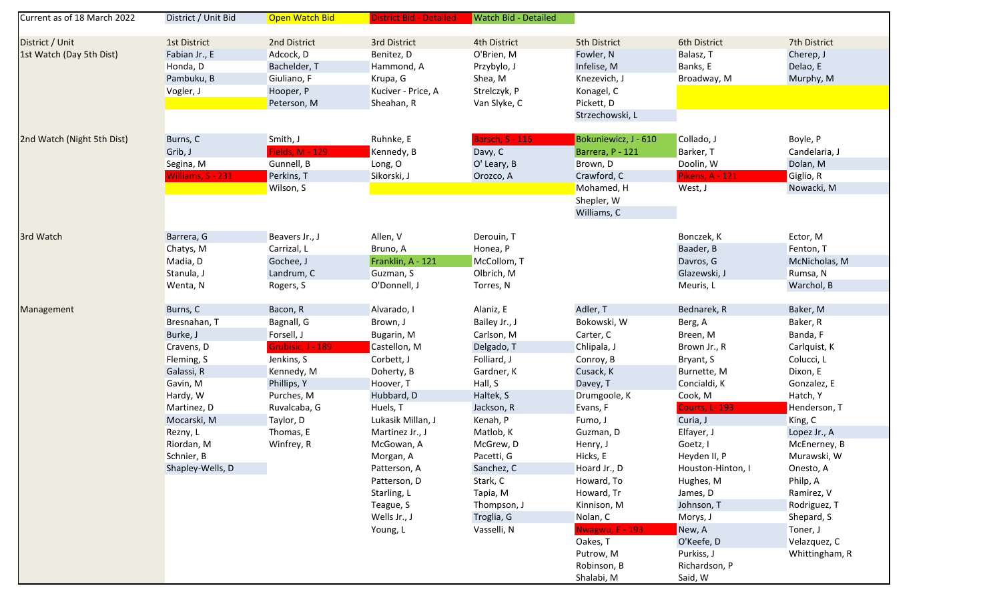| Current as of 18 March 2022 | District / Unit Bid | Open Watch Bid         | <b>District Bid - Detailed</b> | <b>Watch Bid - Detailed</b> |                         |                        |                            |
|-----------------------------|---------------------|------------------------|--------------------------------|-----------------------------|-------------------------|------------------------|----------------------------|
| District / Unit             | 1st District        | 2nd District           | 3rd District                   | 4th District                | 5th District            | 6th District           | 7th District               |
| 1st Watch (Day 5th Dist)    | Fabian Jr., E       | Adcock, D              | Benitez, D                     | O'Brien, M                  | Fowler, N               | Balasz, T              | Cherep, J                  |
|                             | Honda, D            | Bachelder, T           | Hammond, A                     | Przybylo, J                 | Infelise, M             | Banks, E               | Delao, E                   |
|                             | Pambuku, B          | Giuliano, F            | Krupa, G                       | Shea, M                     | Knezevich, J            | Broadway, M            | Murphy, M                  |
|                             | Vogler, J           | Hooper, P              | Kuciver - Price, A             | Strelczyk, P                | Konagel, C              |                        |                            |
|                             |                     | Peterson, M            | Sheahan, R                     | Van Slyke, C                | Pickett, D              |                        |                            |
|                             |                     |                        |                                |                             | Strzechowski, L         |                        |                            |
| 2nd Watch (Night 5th Dist)  | Burns, C            | Smith, J               | Ruhnke, E                      | <b>Barsch, S - 116</b>      | Bokuniewicz, J - 610    | Collado, J             | Boyle, P                   |
|                             | Grib, J             | <b>Fields, M - 129</b> | Kennedy, B                     | Davy, C                     | Barrera, P - 121        | Barker, T              | Candelaria, J              |
|                             | Segina, M           | Gunnell, B             | Long, O                        | O' Leary, B                 | Brown, D                | Doolin, W              | Dolan, M                   |
|                             | Williams, S - 231   | Perkins, T             | Sikorski, J                    | Orozco, A                   | Crawford, C             | <b>Pikens, A - 121</b> | Giglio, R                  |
|                             |                     | Wilson, S              |                                |                             | Mohamed, H              | West, J                | Nowacki, M                 |
|                             |                     |                        |                                |                             | Shepler, W              |                        |                            |
|                             |                     |                        |                                |                             | Williams, C             |                        |                            |
| 3rd Watch                   | Barrera, G          | Beavers Jr., J         | Allen, V                       | Derouin, T                  |                         | Bonczek, K             | Ector, M                   |
|                             | Chatys, M           | Carrizal, L            | Bruno, A                       | Honea, P                    |                         | Baader, B              | Fenton, T                  |
|                             | Madia, D            | Gochee, J              | Franklin, A - 121              | McCollom, T                 |                         | Davros, G              | McNicholas, M              |
|                             | Stanula, J          | Landrum, C             | Guzman, S                      | Olbrich, M                  |                         | Glazewski, J           | Rumsa, N                   |
|                             | Wenta, N            | Rogers, S              | O'Donnell, J                   | Torres, N                   |                         | Meuris, L              | Warchol, B                 |
|                             |                     |                        |                                |                             |                         |                        |                            |
| Management                  | Burns, C            | Bacon, R               | Alvarado, I                    | Alaniz, E                   | Adler, T                | Bednarek, R            | Baker, M                   |
|                             | Bresnahan, T        | Bagnall, G             | Brown, J                       | Bailey Jr., J               | Bokowski, W             | Berg, A                | Baker, R                   |
|                             | Burke, J            | Forsell, J             | Bugarin, M                     | Carlson, M                  | Carter, C               | Breen, M               | Banda, F                   |
|                             | Cravens, D          | Grubisic, J - 189      | Castellon, M                   | Delgado, T                  | Chlipala, J             | Brown Jr., R           | Carlquist, K               |
|                             | Fleming, S          | Jenkins, S             | Corbett, J                     | Folliard, J                 | Conroy, B               | Bryant, S              | Colucci, L                 |
|                             | Galassi, R          | Kennedy, M             | Doherty, B                     | Gardner, K                  | Cusack, K               | Burnette, M            | Dixon, E                   |
|                             | Gavin, M            | Phillips, Y            | Hoover, T                      | Hall, S                     | Davey, T                | Concialdi, K           | Gonzalez, E                |
|                             | Hardy, W            | Purches, M             | Hubbard, D                     | Haltek, S                   | Drumgoole, K            | Cook, M                | Hatch, Y                   |
|                             | Martinez, D         | Ruvalcaba, G           | Huels, T                       | Jackson, R                  | Evans, F                | <b>Courts, L-193</b>   | Henderson, T               |
|                             | Mocarski, M         | Taylor, D              | Lukasik Millan, J              | Kenah, P                    | Fumo, J                 | Curia, J               | King, C                    |
|                             | Rezny, L            | Thomas, E              | Martinez Jr., J                | Matlob, K                   | Guzman, D               | Elfayer, J             | Lopez Jr., A               |
|                             | Riordan, M          | Winfrey, R             | McGowan, A                     | McGrew, D                   | Henry, J                | Goetz, I               | McEnerney, B               |
|                             | Schnier, B          |                        | Morgan, A                      | Pacetti, G                  | Hicks, E                | Heyden II, P           | Murawski, W                |
|                             | Shapley-Wells, D    |                        | Patterson, A                   | Sanchez, C                  | Hoard Jr., D            | Houston-Hinton, I      | Onesto, A                  |
|                             |                     |                        | Patterson, D                   | Stark, C                    | Howard, To              | Hughes, M              | Philp, A                   |
|                             |                     |                        | Starling, L                    | Tapia, M                    | Howard, Tr              | James, D               | Ramirez, V                 |
|                             |                     |                        | Teague, S<br>Wells Jr., J      | Thompson, J                 | Kinnison, M<br>Nolan, C | Johnson, T<br>Morys, J | Rodriguez, T<br>Shepard, S |
|                             |                     |                        |                                | Troglia, G<br>Vasselli, N   | <b>Nwagwu, E - 193</b>  | New, A                 | Toner, J                   |
|                             |                     |                        | Young, L                       |                             | Oakes, T                | O'Keefe, D             | Velazquez, C               |
|                             |                     |                        |                                |                             | Putrow, M               | Purkiss, J             | Whittingham, R             |
|                             |                     |                        |                                |                             | Robinson, B             | Richardson, P          |                            |
|                             |                     |                        |                                |                             | Shalabi, M              | Said, W                |                            |
|                             |                     |                        |                                |                             |                         |                        |                            |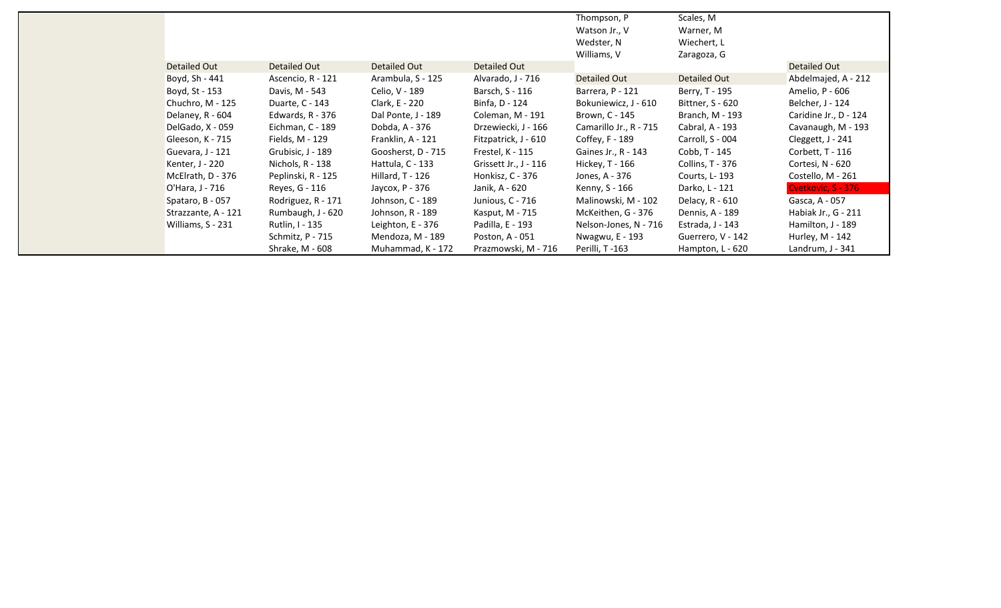|                     |                    |                    |                       | Thompson, P<br>Watson Jr., V<br>Wedster, N<br>Williams, V | Scales, M<br>Warner, M<br>Wiechert, L<br>Zaragoza, G |                       |
|---------------------|--------------------|--------------------|-----------------------|-----------------------------------------------------------|------------------------------------------------------|-----------------------|
| Detailed Out        | Detailed Out       | Detailed Out       | Detailed Out          |                                                           |                                                      | Detailed Out          |
| Boyd, Sh - 441      | Ascencio, R - 121  | Arambula, S - 125  | Alvarado, J - 716     | Detailed Out                                              | Detailed Out                                         | Abdelmajed, A - 212   |
| Boyd, St - 153      | Davis, M - 543     | Celio, V - 189     | Barsch, S - 116       | Barrera, P - 121                                          | Berry, T - 195                                       | Amelio, P - 606       |
| Chuchro, M - 125    | Duarte, C - 143    | Clark, E - 220     | Binfa, D - 124        | Bokuniewicz, J - 610                                      | Bittner, S - 620                                     | Belcher, J - 124      |
| Delaney, R - 604    | Edwards, R - 376   | Dal Ponte, J - 189 | Coleman, M - 191      | Brown, C - 145                                            | Branch, M - 193                                      | Caridine Jr., D - 124 |
| DelGado, X - 059    | Eichman, C - 189   | Dobda, A - 376     | Drzewiecki, J - 166   | Camarillo Jr., R - 715                                    | Cabral, A - 193                                      | Cavanaugh, M - 193    |
| Gleeson, K - 715    | Fields, M - 129    | Franklin, A - 121  | Fitzpatrick, J - 610  | Coffey, F - 189                                           | Carroll, S - 004                                     | Cleggett, J - 241     |
| Guevara, J - 121    | Grubisic, J - 189  | Goosherst, D - 715 | Frestel, K - 115      | Gaines Jr., R - 143                                       | Cobb, T - 145                                        | Corbett, T - 116      |
| Kenter, J - 220     | Nichols, R - 138   | Hattula, C - 133   | Grissett Jr., J - 116 | Hickey, T - 166                                           | Collins, T - 376                                     | Cortesi, N - 620      |
| McElrath, D - 376   | Peplinski, R - 125 | Hillard, T - 126   | Honkisz, C - 376      | Jones, A - 376                                            | Courts, L-193                                        | Costello, M - 261     |
| O'Hara, J - 716     | Reyes, G - 116     | Jaycox, P - 376    | Janik, A - 620        | Kenny, S - 166                                            | Darko, L - 121                                       | Cvetkovic, S - 376    |
| Spataro, B - 057    | Rodriguez, R - 171 | Johnson, C - 189   | Junious, C - 716      | Malinowski, M - 102                                       | Delacy, R - 610                                      | Gasca, A - 057        |
| Strazzante, A - 121 | Rumbaugh, J - 620  | Johnson, R - 189   | Kasput, M - 715       | McKeithen, G - 376                                        | Dennis, A - 189                                      | Habiak Jr., G - 211   |
| Williams, S - 231   | Rutlin, I - 135    | Leighton, E - 376  | Padilla, E - 193      | Nelson-Jones, N - 716                                     | Estrada, J - 143                                     | Hamilton, J - 189     |
|                     | Schmitz, P - 715   | Mendoza, M - 189   | Poston, A - 051       | Nwagwu, E - 193                                           | Guerrero, V - 142                                    | Hurley, M - 142       |
|                     | Shrake, M - 608    | Muhammad, K - 172  | Prazmowski, M - 716   | Perilli, T-163                                            | Hampton, L - 620                                     | Landrum, J - 341      |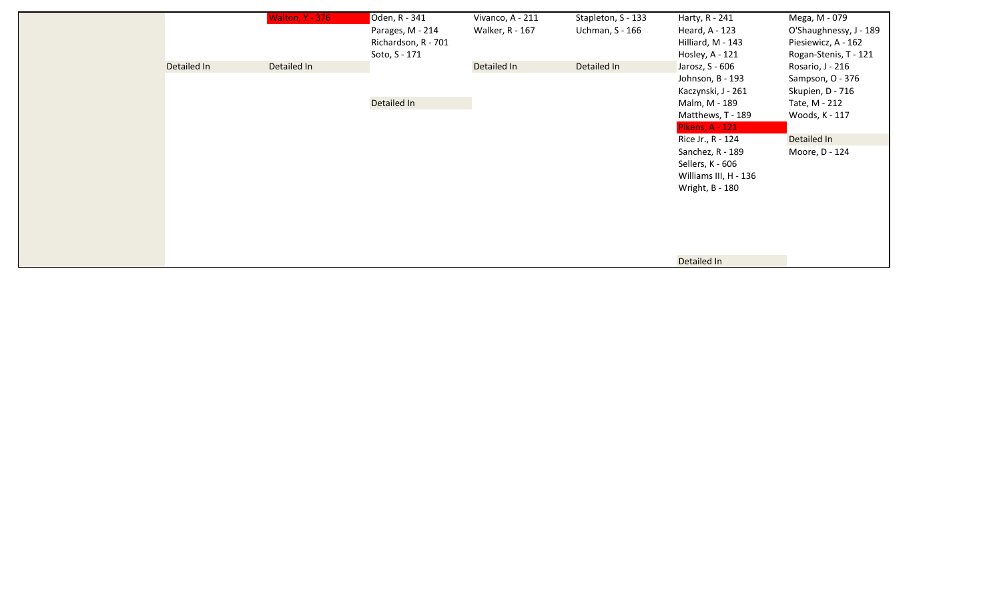|             | <b>Walton, Y - 376</b> | Oden, R - 341       | Vivanco, A - 211 | Stapleton, S - 133 | Harty, R - 241         | Mega, M - 079          |
|-------------|------------------------|---------------------|------------------|--------------------|------------------------|------------------------|
|             |                        | Parages, M - 214    | Walker, R - 167  | Uchman, S - 166    | Heard, A - 123         | O'Shaughnessy, J - 189 |
|             |                        | Richardson, R - 701 |                  |                    | Hilliard, M - 143      | Piesiewicz, A - 162    |
|             |                        | Soto, S - 171       |                  |                    | Hosley, A - 121        | Rogan-Stenis, T - 121  |
| Detailed In | Detailed In            |                     | Detailed In      | Detailed In        | Jarosz, S - 606        | Rosario, J - 216       |
|             |                        |                     |                  |                    | Johnson, B - 193       | Sampson, O - 376       |
|             |                        |                     |                  |                    | Kaczynski, J - 261     | Skupien, D - 716       |
|             |                        | Detailed In         |                  |                    | Malm, M - 189          | Tate, M - 212          |
|             |                        |                     |                  |                    | Matthews, T - 189      | Woods, K - 117         |
|             |                        |                     |                  |                    | <b>Pikens, A - 121</b> |                        |
|             |                        |                     |                  |                    | Rice Jr., R - 124      | Detailed In            |
|             |                        |                     |                  |                    | Sanchez, R - 189       | Moore, D - 124         |
|             |                        |                     |                  |                    | Sellers, K - 606       |                        |
|             |                        |                     |                  |                    | Williams III, H - 136  |                        |
|             |                        |                     |                  |                    | Wright, B - 180        |                        |
|             |                        |                     |                  |                    |                        |                        |
|             |                        |                     |                  |                    |                        |                        |
|             |                        |                     |                  |                    |                        |                        |
|             |                        |                     |                  |                    |                        |                        |
|             |                        |                     |                  |                    |                        |                        |
|             |                        |                     |                  |                    | Detailed In            |                        |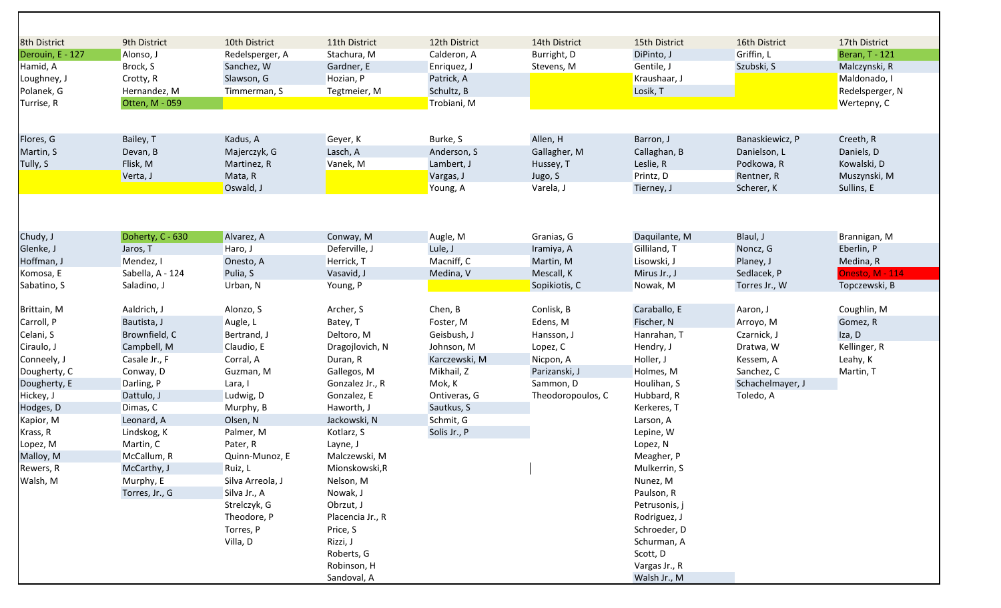| 8th District     | 9th District     | 10th District    | 11th District    | 12th District | 14th District     | 15th District | 16th District    | 17th District          |
|------------------|------------------|------------------|------------------|---------------|-------------------|---------------|------------------|------------------------|
| Derouin, E - 127 | Alonso, J        | Redelsperger, A  | Stachura, M      | Calderon, A   | Burright, D       | DiPinto, J    | Griffin, L       | <b>Beran, T - 121</b>  |
| Hamid, A         | Brock, S         | Sanchez, W       | Gardner, E       | Enriquez, J   | Stevens, M        | Gentile, J    | Szubski, S       | Malczynski, R          |
| Loughney, J      | Crotty, R        | Slawson, G       | Hozian, P        | Patrick, A    |                   | Kraushaar, J  |                  | Maldonado, I           |
| Polanek, G       | Hernandez, M     | Timmerman, S     | Tegtmeier, M     | Schultz, B    |                   | Losik, T      |                  | Redelsperger, N        |
| Turrise, R       | Otten, M - 059   |                  |                  | Trobiani, M   |                   |               |                  | Wertepny, C            |
|                  |                  |                  |                  |               |                   |               |                  |                        |
| Flores, G        | Bailey, T        | Kadus, A         | Geyer, K         | Burke, S      | Allen, H          | Barron, J     | Banaskiewicz, P  | Creeth, R              |
| Martin, S        | Devan, B         | Majerczyk, G     | Lasch, A         | Anderson, S   | Gallagher, M      | Callaghan, B  | Danielson, L     | Daniels, D             |
| Tully, S         | Flisk, M         | Martinez, R      | Vanek, M         | Lambert, J    | Hussey, T         | Leslie, R     | Podkowa, R       | Kowalski, D            |
|                  | Verta, J         | Mata, R          |                  | Vargas, J     | Jugo, S           | Printz, D     | Rentner, R       | Muszynski, M           |
|                  |                  | Oswald, J        |                  | Young, A      | Varela, J         | Tierney, J    | Scherer, K       | Sullins, E             |
|                  |                  |                  |                  |               |                   |               |                  |                        |
| Chudy, J         | Doherty, C - 630 | Alvarez, A       | Conway, M        | Augle, M      | Granias, G        | Daquilante, M | Blaul, J         | Brannigan, M           |
| Glenke, J        | Jaros, T         | Haro, J          | Deferville, J    | Lule, J       | Iramiya, A        | Gilliland, T  | Noncz, G         | Eberlin, P             |
| Hoffman, J       | Mendez, I        | Onesto, A        | Herrick, T       | Macniff, C    | Martin, M         | Lisowski, J   | Planey, J        | Medina, R              |
| Komosa, E        | Sabella, A - 124 | Pulia, S         | Vasavid, J       | Medina, V     | Mescall, K        | Mirus Jr., J  | Sedlacek, P      | <b>Onesto, M - 114</b> |
| Sabatino, S      | Saladino, J      | Urban, N         | Young, P         |               | Sopikiotis, C     | Nowak, M      | Torres Jr., W    | Topczewski, B          |
| Brittain, M      | Aaldrich, J      | Alonzo, S        | Archer, S        | Chen, B       | Conlisk, B        | Caraballo, E  | Aaron, J         | Coughlin, M            |
| Carroll, P       | Bautista, J      | Augle, L         | Batey, T         | Foster, M     | Edens, M          | Fischer, N    | Arroyo, M        | Gomez, R               |
| Celani, S        | Brownfield, C    | Bertrand, J      | Deltoro, M       | Geisbush, J   | Hansson, J        | Hanrahan, T   | Czarnick, J      | Iza, D                 |
| Ciraulo, J       | Campbell, M      | Claudio, E       | Dragojlovich, N  | Johnson, M    | Lopez, C          | Hendry, J     | Dratwa, W        | Kellinger, R           |
| Conneely, J      | Casale Jr., F    | Corral, A        | Duran, R         | Karczewski, M | Nicpon, A         | Holler, J     | Kessem, A        | Leahy, K               |
| Dougherty, C     | Conway, D        | Guzman, M        | Gallegos, M      | Mikhail, Z    | Parizanski, J     | Holmes, M     | Sanchez, C       | Martin, T              |
| Dougherty, E     | Darling, P       | Lara, I          | Gonzalez Jr., R  | Mok, K        | Sammon, D         | Houlihan, S   | Schachelmayer, J |                        |
| Hickey, J        | Dattulo, J       | Ludwig, D        | Gonzalez, E      | Ontiveras, G  | Theodoropoulos, C | Hubbard, R    | Toledo, A        |                        |
| Hodges, D        | Dimas, C         | Murphy, B        | Haworth, J       | Sautkus, S    |                   | Kerkeres, T   |                  |                        |
| Kapior, M        | Leonard, A       | Olsen, N         | Jackowski, N     | Schmit, G     |                   | Larson, A     |                  |                        |
| Krass, R         | Lindskog, K      | Palmer, M        | Kotlarz, S       | Solis Jr., P  |                   | Lepine, W     |                  |                        |
| Lopez, M         | Martin, C        | Pater, R         | Layne, J         |               |                   | Lopez, N      |                  |                        |
| Malloy, M        | McCallum, R      | Quinn-Munoz, E   | Malczewski, M    |               |                   | Meagher, P    |                  |                        |
| Rewers, R        | McCarthy, J      | Ruiz, L          | Mionskowski, R   |               |                   | Mulkerrin, S  |                  |                        |
| Walsh, M         | Murphy, E        | Silva Arreola, J | Nelson, M        |               |                   | Nunez, M      |                  |                        |
|                  | Torres, Jr., G   | Silva Jr., A     | Nowak, J         |               |                   | Paulson, R    |                  |                        |
|                  |                  | Strelczyk, G     | Obrzut, J        |               |                   | Petrusonis, j |                  |                        |
|                  |                  | Theodore, P      | Placencia Jr., R |               |                   | Rodriguez, J  |                  |                        |
|                  |                  | Torres, P        | Price, S         |               |                   | Schroeder, D  |                  |                        |
|                  |                  | Villa, D         | Rizzi, J         |               |                   | Schurman, A   |                  |                        |
|                  |                  |                  | Roberts, G       |               |                   | Scott, D      |                  |                        |
|                  |                  |                  | Robinson, H      |               |                   | Vargas Jr., R |                  |                        |
|                  |                  |                  | Sandoval, A      |               |                   | Walsh Jr., M  |                  |                        |
|                  |                  |                  |                  |               |                   |               |                  |                        |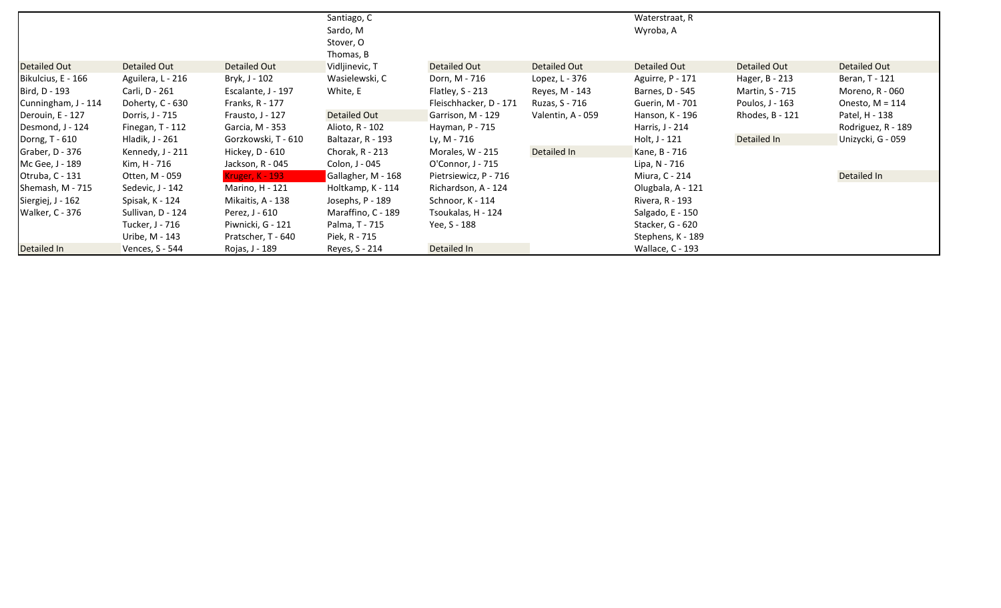|                        |                     |                        | Santiago, C<br>Sardo, M<br>Stover, O |                        |                     | Waterstraat, R<br>Wyroba, A |                     |                    |
|------------------------|---------------------|------------------------|--------------------------------------|------------------------|---------------------|-----------------------------|---------------------|--------------------|
|                        |                     |                        | Thomas, B                            |                        |                     |                             |                     |                    |
| Detailed Out           | <b>Detailed Out</b> | <b>Detailed Out</b>    | Vidljinevic, T                       | <b>Detailed Out</b>    | <b>Detailed Out</b> | <b>Detailed Out</b>         | <b>Detailed Out</b> | Detailed Out       |
| Bikulcius, E - 166     | Aguilera, L - 216   | Bryk, J - 102          | Wasielewski, C                       | Dorn, M - 716          | Lopez, L - 376      | Aguirre, P - 171            | Hager, B - 213      | Beran, T - 121     |
| Bird, D - 193          | Carli, D - 261      | Escalante, J - 197     | White, E                             | Flatley, $S - 213$     | Reyes, M - 143      | Barnes, D - 545             | Martin, S - 715     | Moreno, R - 060    |
| Cunningham, J - 114    | Doherty, C - 630    | Franks, R - 177        |                                      | Fleischhacker, D - 171 | Ruzas, S - 716      | Guerin, M - 701             | Poulos, J - 163     | Onesto, $M = 114$  |
| Derouin, E - 127       | Dorris, J - 715     | Frausto, J - 127       | Detailed Out                         | Garrison, M - 129      | Valentin, A - 059   | Hanson, K - 196             | Rhodes, B - 121     | Patel, H - 138     |
| Desmond, J - 124       | Finegan, T - 112    | Garcia, M - 353        | Alioto, R - 102                      | Hayman, P - 715        |                     | Harris, J - 214             |                     | Rodriguez, R - 189 |
| Dorng, T - 610         | Hladik, J - 261     | Gorzkowski, T - 610    | Baltazar, R - 193                    | Ly, M - 716            |                     | Holt, J - 121               | Detailed In         | Unizycki, G - 059  |
| Graber, D - 376        | Kennedy, J - 211    | Hickey, D - 610        | Chorak, R - 213                      | Morales, W - 215       | Detailed In         | Kane, B - 716               |                     |                    |
| Mc Gee, J - 189        | Kim, H - 716        | Jackson, R - 045       | Colon, J - 045                       | O'Connor, J - 715      |                     | Lipa, N - 716               |                     |                    |
| Otruba, C - 131        | Otten, M - 059      | <b>Kruger, K - 193</b> | Gallagher, M - 168                   | Pietrsiewicz, P - 716  |                     | Miura, C - 214              |                     | Detailed In        |
| Shemash, M - 715       | Sedevic, J - 142    | Marino, H - 121        | Holtkamp, K - 114                    | Richardson, A - 124    |                     | Olugbala, A - 121           |                     |                    |
| Siergiej, J - 162      | Spisak, K - 124     | Mikaitis, A - 138      | Josephs, P - 189                     | Schnoor, K - 114       |                     | Rivera, R - 193             |                     |                    |
| <b>Walker, C - 376</b> | Sullivan, D - 124   | Perez, J - 610         | Maraffino, C - 189                   | Tsoukalas, H - 124     |                     | Salgado, E - 150            |                     |                    |
|                        | Tucker, J - 716     | Piwnicki, G - 121      | Palma, T - 715                       | Yee, S - 188           |                     | Stacker, G - 620            |                     |                    |
|                        | Uribe, M - 143      | Pratscher, T - 640     | Piek, R - 715                        |                        |                     | Stephens, K - 189           |                     |                    |
| Detailed In            | Vences, S - 544     | Rojas, J - 189         | Reyes, S - 214                       | Detailed In            |                     | Wallace, C - 193            |                     |                    |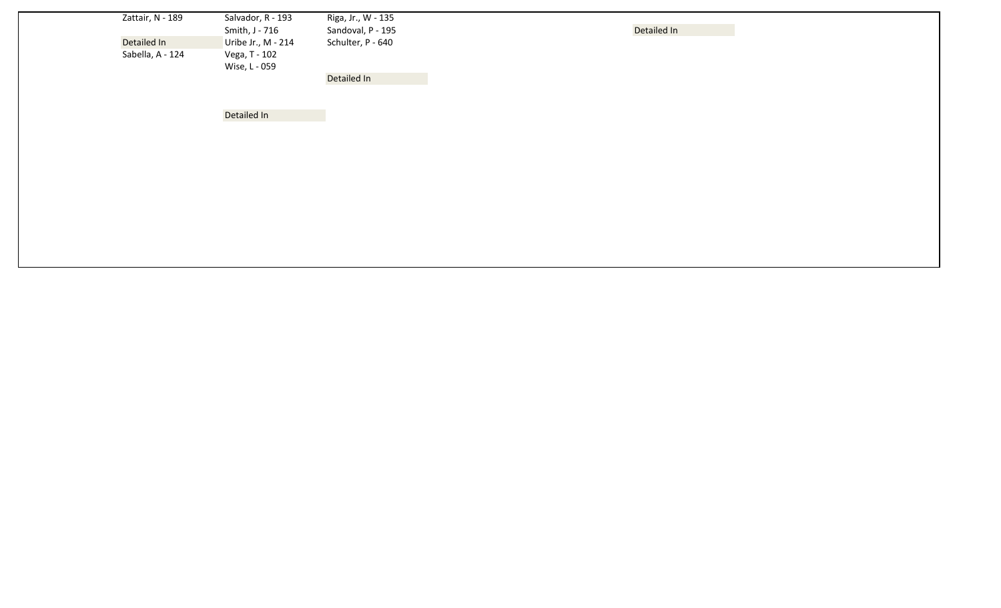| Zattair, N - 189 | Salvador, R - 193<br>Smith, J - 716 | Riga, Jr., W - 135<br>Sandoval, P - 195 | Detailed In |  |
|------------------|-------------------------------------|-----------------------------------------|-------------|--|
| Detailed In      | Uribe Jr., M - 214                  | Schulter, P - 640                       |             |  |
| Sabella, A - 124 | Vega, T - 102<br>Wise, L - 059      |                                         |             |  |
|                  |                                     | Detailed In                             |             |  |
|                  |                                     |                                         |             |  |
|                  |                                     |                                         |             |  |

Detailed In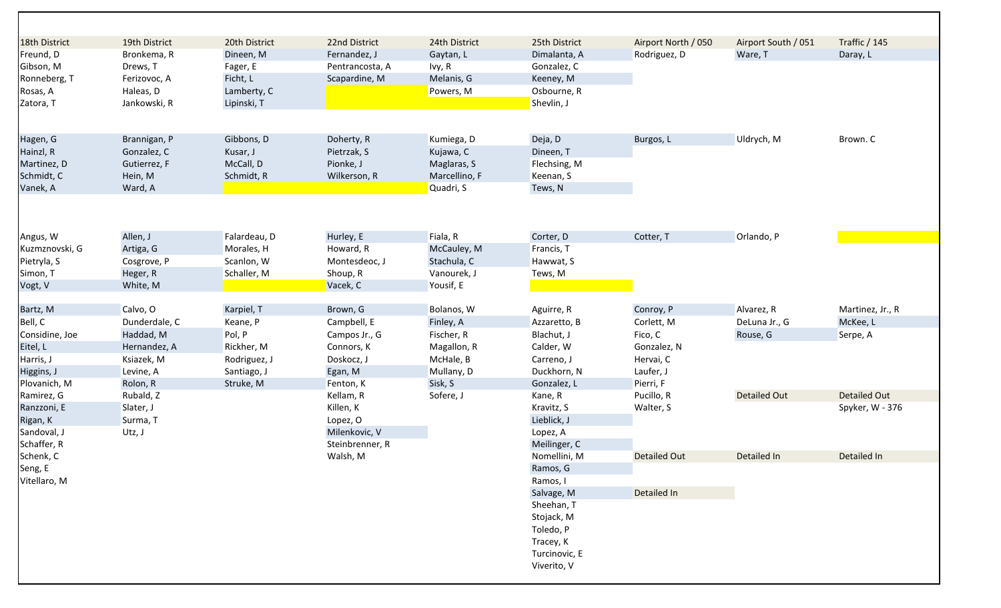| 18th District  | 19th District | 20th District | 22nd District   | 24th District | 25th District | Airport North / 050 | Airport South / 051 | Traffic / 145    |
|----------------|---------------|---------------|-----------------|---------------|---------------|---------------------|---------------------|------------------|
| Freund, D      | Bronkema, R   | Dineen, M     | Fernandez, J    | Gaytan, L     | Dimalanta, A  | Rodriguez, D        | Ware, T             | Daray, L         |
| Gibson, M      | Drews, T      | Fager, E      | Pentrancosta, A | lvy, R        | Gonzalez, C   |                     |                     |                  |
| Ronneberg, T   | Ferizovoc, A  | Ficht, L      | Scapardine, M   | Melanis, G    | Keeney, M     |                     |                     |                  |
| Rosas, A       | Haleas, D     | Lamberty, C   |                 | Powers, M     | Osbourne, R   |                     |                     |                  |
| Zatora, T      | Jankowski, R  | Lipinski, T   |                 |               | Shevlin, J    |                     |                     |                  |
|                |               |               |                 |               |               |                     |                     |                  |
| Hagen, G       | Brannigan, P  | Gibbons, D    | Doherty, R      | Kumiega, D    | Deja, D       | Burgos, L           | Uldrych, M          | Brown. C         |
| Hainzl, R      | Gonzalez, C   | Kusar, J      | Pietrzak, S     | Kujawa, C     | Dineen, T     |                     |                     |                  |
| Martinez, D    | Gutierrez, F  | McCall, D     | Pionke, J       | Maglaras, S   | Flechsing, M  |                     |                     |                  |
| Schmidt, C     | Hein, M       | Schmidt, R    | Wilkerson, R    | Marcellino, F | Keenan, S     |                     |                     |                  |
| Vanek, A       | Ward, A       |               |                 | Quadri, S     | Tews, N       |                     |                     |                  |
|                |               |               |                 |               |               |                     |                     |                  |
| Angus, W       | Allen, J      | Falardeau, D  | Hurley, E       | Fiala, R      | Corter, D     | Cotter, T           | Orlando, P          |                  |
| Kuzmznovski, G | Artiga, G     | Morales, H    | Howard, R       | McCauley, M   | Francis, T    |                     |                     |                  |
| Pietryla, S    | Cosgrove, P   | Scanlon, W    | Montesdeoc, J   | Stachula, C   | Hawwat, S     |                     |                     |                  |
| Simon, T       | Heger, R      | Schaller, M   | Shoup, R        | Vanourek, J   | Tews, M       |                     |                     |                  |
| Vogt, V        | White, M      |               | Vacek, C        | Yousif, E     |               |                     |                     |                  |
|                |               |               |                 |               |               |                     |                     |                  |
| Bartz, M       | Calvo, O      | Karpiel, T    | Brown, G        | Bolanos, W    | Aguirre, R    | Conroy, P           | Alvarez, R          | Martinez, Jr., R |
| Bell, C        | Dunderdale, C | Keane, P      | Campbell, E     | Finley, A     | Azzaretto, B  | Corlett, M          | DeLuna Jr., G       | McKee, L         |
| Considine, Joe | Haddad, M     | Pol, P        | Campos Jr., G   | Fischer, R    | Blachut, J    | Fico, C             | Rouse, G            | Serpe, A         |
| Eitel, L       | Hernandez, A  | Rickher, M    | Connors, K      | Magallon, R   | Calder, W     | Gonzalez, N         |                     |                  |
| Harris, J      | Ksiazek, M    | Rodriguez, J  | Doskocz, J      | McHale, B     | Carreno, J    | Hervai, C           |                     |                  |
| Higgins, J     | Levine, A     | Santiago, J   | Egan, M         | Mullany, D    | Duckhorn, N   | Laufer, J           |                     |                  |
| Plovanich, M   | Rolon, R      | Struke, M     | Fenton, K       | Sisk, S       | Gonzalez, L   | Pierri, F           |                     |                  |
| Ramirez, G     | Rubald, Z     |               | Kellam, R       | Sofere, J     | Kane, R       | Pucillo, R          | <b>Detailed Out</b> | Detailed Out     |
| Ranzzoni, E    | Slater, J     |               | Killen, K       |               | Kravitz, S    | Walter, S           |                     | Spyker, W - 376  |
| Rigan, K       | Surma, T      |               | Lopez, O        |               | Lieblick, J   |                     |                     |                  |
| Sandoval, J    | Utz, J        |               | Milenkovic, V   |               | Lopez, A      |                     |                     |                  |
| Schaffer, R    |               |               | Steinbrenner, R |               | Meilinger, C  |                     |                     |                  |
| Schenk, C      |               |               | Walsh, M        |               | Nomellini, M  | <b>Detailed Out</b> | Detailed In         | Detailed In      |
| Seng, E        |               |               |                 |               | Ramos, G      |                     |                     |                  |
| Vitellaro, M   |               |               |                 |               | Ramos, I      |                     |                     |                  |
|                |               |               |                 |               | Salvage, M    | Detailed In         |                     |                  |
|                |               |               |                 |               | Sheehan, T    |                     |                     |                  |
|                |               |               |                 |               | Stojack, M    |                     |                     |                  |
|                |               |               |                 |               | Toledo, P     |                     |                     |                  |
|                |               |               |                 |               | Tracey, K     |                     |                     |                  |
|                |               |               |                 |               | Turcinovic, E |                     |                     |                  |
|                |               |               |                 |               | Viverito, V   |                     |                     |                  |
|                |               |               |                 |               |               |                     |                     |                  |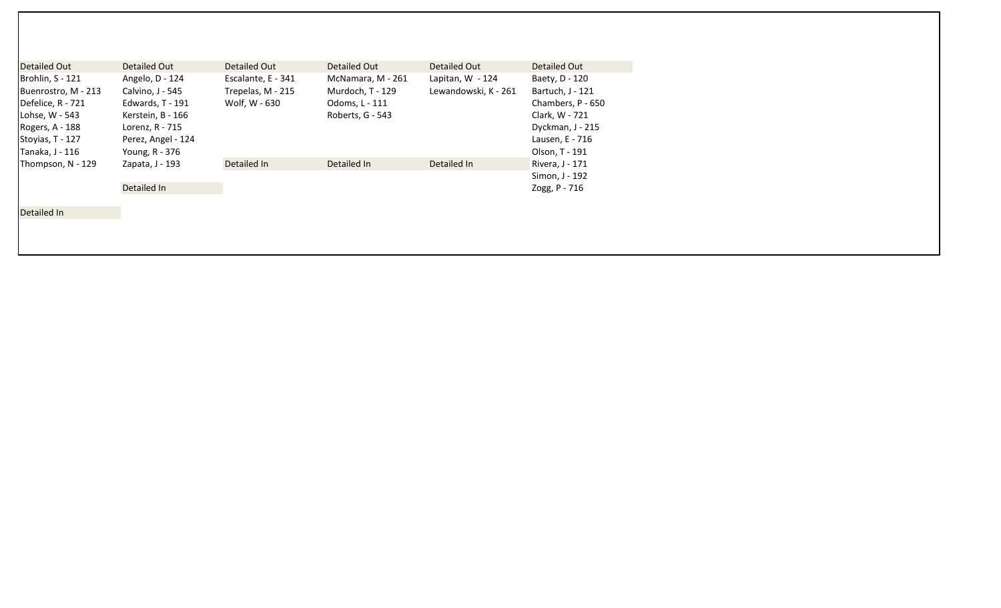| Detailed Out                                                                                                          | Detailed Out                                                                                                          | Detailed Out                                             | Detailed Out                                                                | Detailed Out                                                                                                     | Detailed Out                      |
|-----------------------------------------------------------------------------------------------------------------------|-----------------------------------------------------------------------------------------------------------------------|----------------------------------------------------------|-----------------------------------------------------------------------------|------------------------------------------------------------------------------------------------------------------|-----------------------------------|
| Brohlin, S - 121<br>Buenrostro, M - 213<br>Defelice, R - 721<br>Lohse, W - 543<br>Rogers, A - 188<br>Stoyias, T - 127 | Angelo, D - 124<br>Calvino, J - 545<br>Edwards, T - 191<br>Kerstein, B - 166<br>Lorenz, R - 715<br>Perez, Angel - 124 | Escalante, E - 341<br>Trepelas, M - 215<br>Wolf. W - 630 | McNamara, M - 261<br>Murdoch, T - 129<br>Odoms, L - 111<br>Roberts, G - 543 | Baety, D - 120<br>Bartuch, J - 121<br>Chambers, P - 650<br>Clark, W - 721<br>Dyckman, J - 215<br>Lausen, E - 716 |                                   |
| Tanaka, J - 116                                                                                                       | Young, R - 376                                                                                                        |                                                          |                                                                             |                                                                                                                  | Olson, T - 191                    |
| Thompson, N - 129                                                                                                     | Zapata, J - 193                                                                                                       | Detailed In                                              | Detailed In                                                                 | Detailed In                                                                                                      | Rivera, J - 171<br>Simon, J - 192 |
| Detailed In                                                                                                           | Detailed In                                                                                                           |                                                          |                                                                             |                                                                                                                  | Zogg, P - 716                     |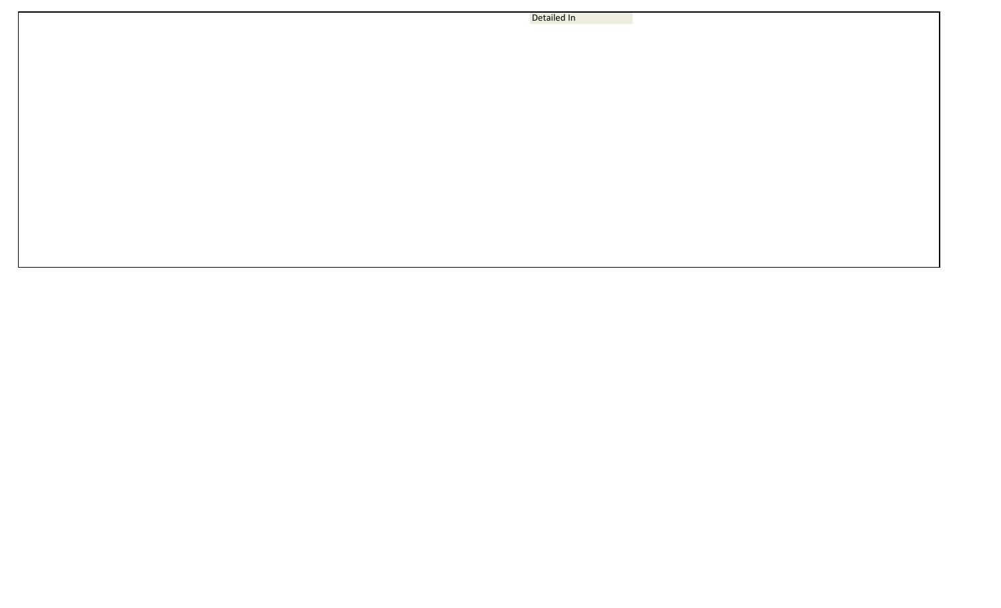Detailed In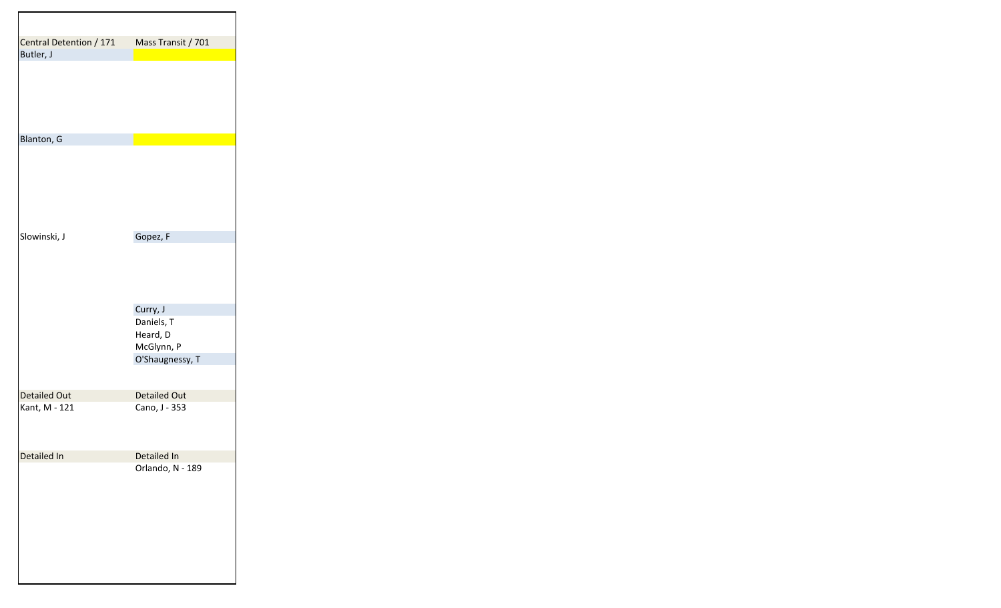| Central Detention / 171 | Mass Transit / 701            |
|-------------------------|-------------------------------|
| Butler, J               |                               |
|                         |                               |
| Blanton, G              |                               |
|                         |                               |
| Slowinski, J            | Gopez, F                      |
|                         |                               |
|                         | Curry, J                      |
|                         | Daniels, T                    |
|                         | Heard, D                      |
|                         | McGlynn, P<br>O'Shaugnessy, T |
|                         |                               |
| <b>Detailed Out</b>     | <b>Detailed Out</b>           |
| Kant, M - 121           | Cano, J - 353                 |
| Detailed In             | Detailed In                   |
|                         | Orlando, N - 189              |